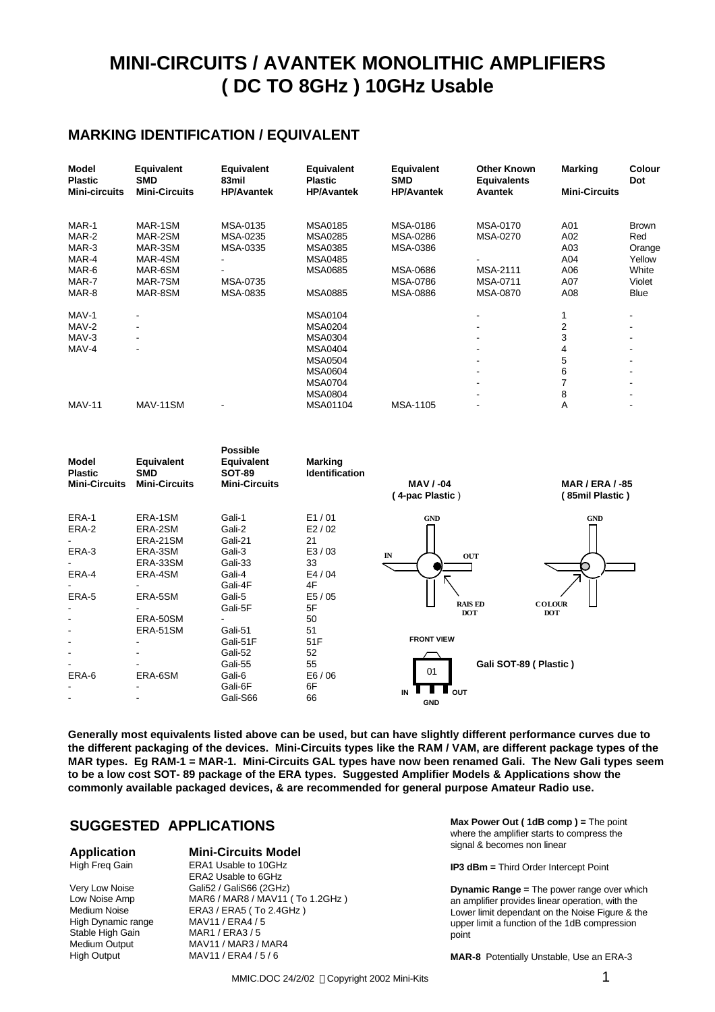# **MINI-CIRCUITS / AVANTEK MONOLITHIC AMPLIFIERS ( DC TO 8GHz ) 10GHz Usable**

### **MARKING IDENTIFICATION / EQUIVALENT**

| Model<br><b>Plastic</b> | Equivalent<br><b>SMD</b> | Equivalent<br>83mil | Equivalent<br><b>Plastic</b> | Equivalent<br><b>SMD</b> | <b>Other Known</b><br><b>Equivalents</b> | <b>Marking</b>       | <b>Colour</b><br>Dot |
|-------------------------|--------------------------|---------------------|------------------------------|--------------------------|------------------------------------------|----------------------|----------------------|
| <b>Mini-circuits</b>    | <b>Mini-Circuits</b>     | <b>HP/Avantek</b>   | <b>HP/Avantek</b>            | <b>HP/Avantek</b>        | <b>Avantek</b>                           | <b>Mini-Circuits</b> |                      |
| MAR-1                   | MAR-1SM                  | MSA-0135            | <b>MSA0185</b>               | <b>MSA-0186</b>          | MSA-0170                                 | A01                  | <b>Brown</b>         |
| MAR-2                   | MAR-2SM                  | MSA-0235            | <b>MSA0285</b>               | MSA-0286                 | MSA-0270                                 | A02                  | Red                  |
| MAR-3                   | MAR-3SM                  | MSA-0335            | <b>MSA0385</b>               | MSA-0386                 |                                          | A03                  | Orange               |
| MAR-4                   | MAR-4SM                  |                     | <b>MSA0485</b>               |                          |                                          | A04                  | Yellow               |
| MAR-6                   | MAR-6SM                  |                     | <b>MSA0685</b>               | <b>MSA-0686</b>          | MSA-2111                                 | A06                  | White                |
| MAR-7                   | MAR-7SM                  | MSA-0735            |                              | <b>MSA-0786</b>          | <b>MSA-0711</b>                          | A07                  | Violet               |
| MAR-8                   | MAR-8SM                  | MSA-0835            | <b>MSA0885</b>               | <b>MSA-0886</b>          | <b>MSA-0870</b>                          | A08                  | <b>Blue</b>          |
| MAV-1                   | $\blacksquare$           |                     | <b>MSA0104</b>               |                          |                                          | 1                    |                      |
| MAV-2                   |                          |                     | <b>MSA0204</b>               |                          |                                          | 2                    |                      |
| MAV-3                   |                          |                     | <b>MSA0304</b>               |                          |                                          | 3                    |                      |
| MAV-4                   |                          |                     | <b>MSA0404</b>               |                          |                                          | 4                    |                      |
|                         |                          |                     | <b>MSA0504</b>               |                          |                                          | 5                    |                      |
|                         |                          |                     | <b>MSA0604</b>               |                          |                                          | 6                    |                      |
|                         |                          |                     | <b>MSA0704</b>               |                          |                                          |                      |                      |
|                         |                          |                     | <b>MSA0804</b>               |                          |                                          | 8                    |                      |
| <b>MAV-11</b>           | MAV-11SM                 |                     | MSA01104                     | <b>MSA-1105</b>          |                                          | A                    |                      |



**Generally most equivalents listed above can be used, but can have slightly different performance curves due to the different packaging of the devices. Mini-Circuits types like the RAM / VAM, are different package types of the MAR types. Eg RAM-1 = MAR-1. Mini-Circuits GAL types have now been renamed Gali. The New Gali types seem to be a low cost SOT- 89 package of the ERA types. Suggested Amplifier Models & Applications show the commonly available packaged devices, & are recommended for general purpose Amateur Radio use.**

### **SUGGESTED APPLICATIONS**

High Freq Gain

High Dynamic range MAV11 / ERA4 / 5 Stable High Gain MAR1 / ERA3 / 5<br>Medium Output MAV11 / MAR3 /

# **Application Mini-Circuits Model**

ERA2 Usable to 6GHz Very Low Noise Gali52 / Gali566 (2GHz)<br>
Low Noise Amp MAR6 / MAR8 / MAV11 MAR6 / MAR8 / MAV11 ( To 1.2GHz ) Medium Noise ERA3 / ERA5 (To 2.4GHz) Medium Output MAV11 / MAR3 / MAR4<br>High Output MAV11 / ERA4 / 5 / 6 MAV11 / ERA4 / 5 / 6

**Max Power Out ( 1dB comp ) =** The point where the amplifier starts to compress the signal & becomes non linear

**IP3 dBm =** Third Order Intercept Point

**Dynamic Range =** The power range over which an amplifier provides linear operation, with the Lower limit dependant on the Noise Figure & the upper limit a function of the 1dB compression point

**MAR-8** Potentially Unstable, Use an ERA-3

MMIC.DOC 24/2/02 © Copyright 2002 Mini-Kits 1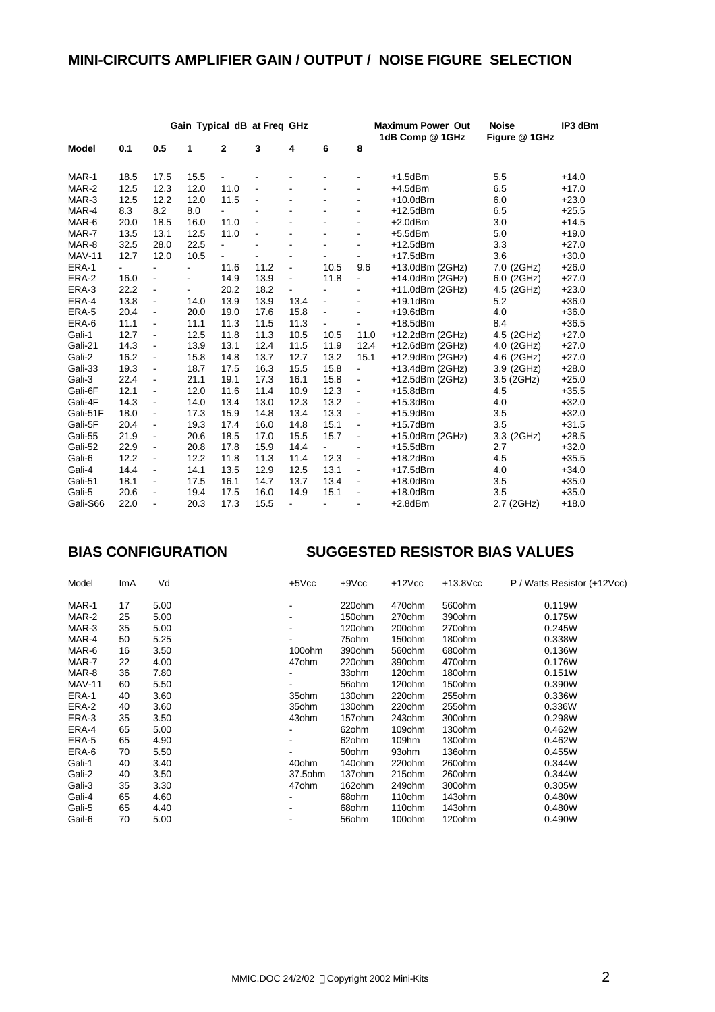## **MINI-CIRCUITS AMPLIFIER GAIN / OUTPUT / NOISE FIGURE SELECTION**

|               |                          | Gain Typical dB at Freq GHz  |                          |                          |                |                          |                          |                          | <b>Maximum Power Out</b><br>1dB Comp @ 1GHz | <b>Noise</b><br>Figure @ 1GHz | IP3 dBm |
|---------------|--------------------------|------------------------------|--------------------------|--------------------------|----------------|--------------------------|--------------------------|--------------------------|---------------------------------------------|-------------------------------|---------|
| Model         | 0.1                      | 0.5                          | 1                        | 2                        | 3              | 4                        | 6                        | 8                        |                                             |                               |         |
| MAR-1         | 18.5                     | 17.5                         | 15.5                     |                          |                |                          |                          |                          | $+1.5$ dBm                                  | 5.5                           | $+14.0$ |
| MAR-2         | 12.5                     | 12.3                         | 12.0                     | 11.0                     |                |                          |                          | $\blacksquare$           | $+4.5$ d $Bm$                               | 6.5                           | $+17.0$ |
| MAR-3         | 12.5                     | 12.2                         | 12.0                     | 11.5                     | $\blacksquare$ | $\overline{\phantom{a}}$ | $\overline{\phantom{a}}$ | $\blacksquare$           | $+10.0$ dBm                                 | 6.0                           | $+23.0$ |
| MAR-4         | 8.3                      | 8.2                          | 8.0                      | $\blacksquare$           |                |                          | L.                       | $\blacksquare$           | $+12.5$ dBm                                 | 6.5                           | $+25.5$ |
| MAR-6         | 20.0                     | 18.5                         | 16.0                     | 11.0                     | $\blacksquare$ |                          | $\overline{a}$           | $\overline{a}$           | $+2.0$ dBm                                  | 3.0                           | $+14.5$ |
| MAR-7         | 13.5                     | 13.1                         | 12.5                     | 11.0                     |                | $\blacksquare$           | ä,                       | $\overline{\phantom{a}}$ | $+5.5$ dBm                                  | 5.0                           | $+19.0$ |
| MAR-8         | 32.5                     | 28.0                         | 22.5                     | $\overline{\phantom{a}}$ |                | $\blacksquare$           |                          | $\overline{\phantom{a}}$ | $+12.5$ dBm                                 | 3.3                           | $+27.0$ |
| <b>MAV-11</b> | 12.7                     | 12.0                         | 10.5                     | ٠                        |                |                          | ٠                        | $\overline{\phantom{a}}$ | $+17.5$ dBm                                 | 3.6                           | $+30.0$ |
| ERA-1         | $\overline{\phantom{0}}$ | $\blacksquare$               | ÷.                       | 11.6                     | 11.2           | $\blacksquare$           | 10.5                     | 9.6                      | +13.0dBm (2GHz)                             | 7.0 (2GHz)                    | $+26.0$ |
| ERA-2         | 16.0                     | $\overline{\phantom{a}}$     | $\overline{\phantom{0}}$ | 14.9                     | 13.9           | $\blacksquare$           | 11.8                     | $\blacksquare$           | +14.0dBm (2GHz)                             | 6.0 (2GHz)                    | $+27.0$ |
| ERA-3         | 22.2                     | $\overline{\phantom{a}}$     | ÷,                       | 20.2                     | 18.2           | $\blacksquare$           | ÷.                       | $\blacksquare$           | $+11.0$ dBm $(2GHz)$                        | 4.5 (2GHz)                    | $+23.0$ |
| ERA-4         | 13.8                     | $\qquad \qquad \blacksquare$ | 14.0                     | 13.9                     | 13.9           | 13.4                     | $\blacksquare$           | $\blacksquare$           | $+19.1$ dBm                                 | 5.2                           | $+36.0$ |
| ERA-5         | 20.4                     | $\blacksquare$               | 20.0                     | 19.0                     | 17.6           | 15.8                     | ÷,                       | $\blacksquare$           | $+19.6$ dBm                                 | 4.0                           | $+36.0$ |
| ERA-6         | 11.1                     | $\overline{\phantom{a}}$     | 11.1                     | 11.3                     | 11.5           | 11.3                     | $\overline{\phantom{0}}$ | $\blacksquare$           | $+18.5$ dBm                                 | 8.4                           | $+36.5$ |
| Gali-1        | 12.7                     | $\blacksquare$               | 12.5                     | 11.8                     | 11.3           | 10.5                     | 10.5                     | 11.0                     | +12.2dBm (2GHz)                             | 4.5 (2GHz)                    | $+27.0$ |
| Gali-21       | 14.3                     | $\frac{1}{2}$                | 13.9                     | 13.1                     | 12.4           | 11.5                     | 11.9                     | 12.4                     | $+12.6$ dBm $(2GHz)$                        | 4.0 (2GHz)                    | $+27.0$ |
| Gali-2        | 16.2                     | $\frac{1}{2}$                | 15.8                     | 14.8                     | 13.7           | 12.7                     | 13.2                     | 15.1                     | $+12.9$ dBm $(2GHz)$                        | 4.6 (2GHz)                    | $+27.0$ |
| Gali-33       | 19.3                     | $\blacksquare$               | 18.7                     | 17.5                     | 16.3           | 15.5                     | 15.8                     | $\blacksquare$           | +13.4dBm (2GHz)                             | 3.9 (2GHz)                    | $+28.0$ |
| Gali-3        | 22.4                     | $\qquad \qquad \blacksquare$ | 21.1                     | 19.1                     | 17.3           | 16.1                     | 15.8                     | $\overline{\phantom{a}}$ | +12.5dBm (2GHz)                             | 3.5 (2GHz)                    | $+25.0$ |
| Gali-6F       | 12.1                     | $\qquad \qquad \blacksquare$ | 12.0                     | 11.6                     | 11.4           | 10.9                     | 12.3                     | $\blacksquare$           | $+15.8$ dBm                                 | 4.5                           | $+35.5$ |
| Gali-4F       | 14.3                     | $\qquad \qquad \blacksquare$ | 14.0                     | 13.4                     | 13.0           | 12.3                     | 13.2                     | $\overline{\phantom{a}}$ | $+15.3$ dBm                                 | 4.0                           | $+32.0$ |
| Gali-51F      | 18.0                     | $\frac{1}{2}$                | 17.3                     | 15.9                     | 14.8           | 13.4                     | 13.3                     | $\blacksquare$           | $+15.9$ dBm                                 | 3.5                           | $+32.0$ |
| Gali-5F       | 20.4                     | $\overline{\phantom{a}}$     | 19.3                     | 17.4                     | 16.0           | 14.8                     | 15.1                     | $\blacksquare$           | $+15.7$ dBm                                 | 3.5                           | $+31.5$ |
| Gali-55       | 21.9                     | $\blacksquare$               | 20.6                     | 18.5                     | 17.0           | 15.5                     | 15.7                     | $\overline{\phantom{a}}$ | +15.0dBm (2GHz)                             | 3.3 (2GHz)                    | $+28.5$ |
| Gali-52       | 22.9                     | -                            | 20.8                     | 17.8                     | 15.9           | 14.4                     |                          |                          | $+15.5$ dBm                                 | 2.7                           | $+32.0$ |
| Gali-6        | 12.2                     | $\qquad \qquad \blacksquare$ | 12.2                     | 11.8                     | 11.3           | 11.4                     | 12.3                     | $\blacksquare$           | $+18.2$ dBm                                 | 4.5                           | $+35.5$ |
| Gali-4        | 14.4                     | $\blacksquare$               | 14.1                     | 13.5                     | 12.9           | 12.5                     | 13.1                     | $\overline{\phantom{a}}$ | $+17.5$ dBm                                 | 4.0                           | $+34.0$ |
| Gali-51       | 18.1                     | $\blacksquare$               | 17.5                     | 16.1                     | 14.7           | 13.7                     | 13.4                     | $\blacksquare$           | $+18.0$ dBm                                 | 3.5                           | $+35.0$ |
| Gali-5        | 20.6                     | $\overline{a}$               | 19.4                     | 17.5                     | 16.0           | 14.9                     | 15.1                     | $\overline{\phantom{a}}$ | $+18.0$ dBm                                 | 3.5                           | $+35.0$ |
| Gali-S66      | 22.0                     |                              | 20.3                     | 17.3                     | 15.5           | $\blacksquare$           | $\blacksquare$           |                          | $+2.8$ dBm                                  | 2.7 (2GHz)                    | $+18.0$ |

## **BIAS CONFIGURATION SUGGESTED RESISTOR BIAS VALUES**

| Model         | ImA | Vd   | $+5$ V $cc$ | $+9$ Vcc           | $+12$ Vcc          | $+13.8$ Vcc        | P / Watts Resistor (+12Vcc) |
|---------------|-----|------|-------------|--------------------|--------------------|--------------------|-----------------------------|
| MAR-1         | 17  | 5.00 |             | 220ohm             | 470ohm             | 560ohm             | 0.119W                      |
| MAR-2         | 25  | 5.00 |             | 150ohm             | 270 <sub>ohm</sub> | 390ohm             | 0.175W                      |
| MAR-3         | 35  | 5.00 |             | 120ohm             | 200 <sub>ohm</sub> | 270 <sub>ohm</sub> | 0.245W                      |
| MAR-4         | 50  | 5.25 |             | 75ohm              | 150ohm             | 180ohm             | 0.338W                      |
| MAR-6         | 16  | 3.50 | 100ohm      | 390ohm             | 560ohm             | 680ohm             | 0.136W                      |
| MAR-7         | 22  | 4.00 | 47ohm       | 220ohm             | 390ohm             | 470ohm             | 0.176W                      |
| MAR-8         | 36  | 7.80 |             | 33ohm              | 120ohm             | 180ohm             | 0.151W                      |
| <b>MAV-11</b> | 60  | 5.50 |             | 56ohm              | 120ohm             | 150ohm             | 0.390W                      |
| ERA-1         | 40  | 3.60 | 35ohm       | 130ohm             | 220 <sub>ohm</sub> | 255ohm             | 0.336W                      |
| ERA-2         | 40  | 3.60 | 35ohm       | 130ohm             | 220ohm             | 255ohm             | 0.336W                      |
| ERA-3         | 35  | 3.50 | 43ohm       | 157 <sub>ohm</sub> | 243 <sub>ohm</sub> | 300ohm             | 0.298W                      |
| ERA-4         | 65  | 5.00 |             | 62ohm              | 109ohm             | 130ohm             | 0.462W                      |
| ERA-5         | 65  | 4.90 |             | 62ohm              | 109hm              | 130ohm             | 0.462W                      |
| ERA-6         | 70  | 5.50 |             | 50ohm              | 93ohm              | 136ohm             | 0.455W                      |
| Gali-1        | 40  | 3.40 | 40ohm       | 140 <sub>ohm</sub> | 220ohm             | 260ohm             | 0.344W                      |
| Gali-2        | 40  | 3.50 | 37.5ohm     | 137ohm             | 215ohm             | 260ohm             | 0.344W                      |
| Gali-3        | 35  | 3.30 | 47ohm       | 162ohm             | 249ohm             | 300ohm             | 0.305W                      |
| Gali-4        | 65  | 4.60 |             | 68ohm              | 110 <sub>ohm</sub> | 143 <sub>ohm</sub> | 0.480W                      |
| Gali-5        | 65  | 4.40 |             | 68ohm              | 110ohm             | 143ohm             | 0.480W                      |
| Gail-6        | 70  | 5.00 |             | 56ohm              | 100ohm             | 120ohm             | 0.490W                      |